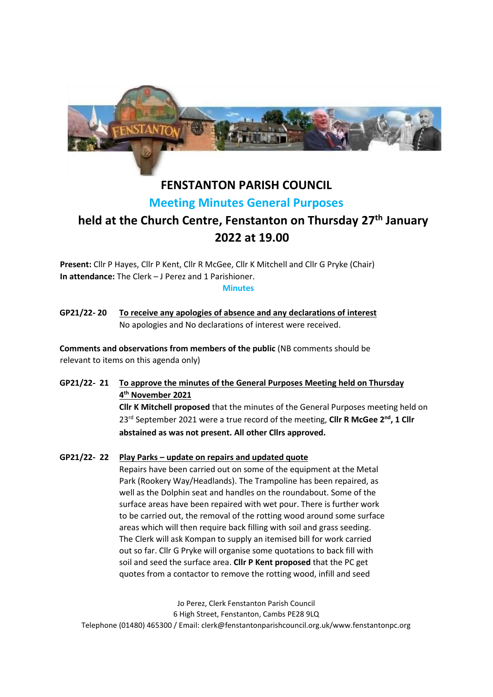

## **FENSTANTON PARISH COUNCIL Meeting Minutes General Purposes**

# **held at the Church Centre, Fenstanton on Thursday 27th January 2022 at 19.00**

**Present:** Cllr P Hayes, Cllr P Kent, Cllr R McGee, Cllr K Mitchell and Cllr G Pryke (Chair) **In attendance:** The Clerk – J Perez and 1 Parishioner.

#### **Minutes**

**GP21/22- 20 To receive any apologies of absence and any declarations of interest** No apologies and No declarations of interest were received.

**Comments and observations from members of the public** (NB comments should be relevant to items on this agenda only)

**GP21/22- 21 To approve the minutes of the General Purposes Meeting held on Thursday 4 th November 2021 Cllr K Mitchell proposed** that the minutes of the General Purposes meeting held on

23rd September 2021 were a true record of the meeting, **Cllr R McGee 2 nd, 1 Cllr abstained as was not present. All other Cllrs approved.**

## **GP21/22- 22 Play Parks – update on repairs and updated quote**

Repairs have been carried out on some of the equipment at the Metal Park (Rookery Way/Headlands). The Trampoline has been repaired, as well as the Dolphin seat and handles on the roundabout. Some of the surface areas have been repaired with wet pour. There is further work to be carried out, the removal of the rotting wood around some surface areas which will then require back filling with soil and grass seeding. The Clerk will ask Kompan to supply an itemised bill for work carried out so far. Cllr G Pryke will organise some quotations to back fill with soil and seed the surface area. **Cllr P Kent proposed** that the PC get quotes from a contactor to remove the rotting wood, infill and seed

Jo Perez, Clerk Fenstanton Parish Council 6 High Street, Fenstanton, Cambs PE28 9LQ Telephone (01480) 465300 / Email: clerk@fenstantonparishcouncil.org.uk/www.fenstantonpc.org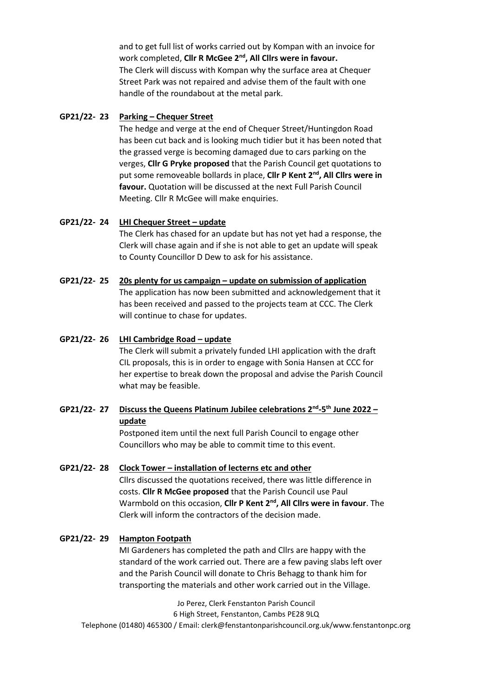and to get full list of works carried out by Kompan with an invoice for work completed, **Cllr R McGee 2nd, All Cllrs were in favour.**  The Clerk will discuss with Kompan why the surface area at Chequer Street Park was not repaired and advise them of the fault with one handle of the roundabout at the metal park.

## **GP21/22- 23 Parking – Chequer Street**

The hedge and verge at the end of Chequer Street/Huntingdon Road has been cut back and is looking much tidier but it has been noted that the grassed verge is becoming damaged due to cars parking on the verges, **Cllr G Pryke proposed** that the Parish Council get quotations to put some removeable bollards in place, **Cllr P Kent 2nd, All Cllrs were in favour.** Quotation will be discussed at the next Full Parish Council Meeting. Cllr R McGee will make enquiries.

## **GP21/22- 24 LHI Chequer Street – update**

The Clerk has chased for an update but has not yet had a response, the Clerk will chase again and if she is not able to get an update will speak to County Councillor D Dew to ask for his assistance.

## **GP21/22- 25 20s plenty for us campaign – update on submission of application**

The application has now been submitted and acknowledgement that it has been received and passed to the projects team at CCC. The Clerk will continue to chase for updates.

## **GP21/22- 26 LHI Cambridge Road – update**

The Clerk will submit a privately funded LHI application with the draft CIL proposals, this is in order to engage with Sonia Hansen at CCC for her expertise to break down the proposal and advise the Parish Council what may be feasible.

## **GP21/22- 27 Discuss the Queens Platinum Jubilee celebrations 2nd -5 th June 2022 – update**

Postponed item until the next full Parish Council to engage other Councillors who may be able to commit time to this event.

## **GP21/22- 28 Clock Tower – installation of lecterns etc and other**

Cllrs discussed the quotations received, there was little difference in costs. **Cllr R McGee proposed** that the Parish Council use Paul Warmbold on this occasion, **Cllr P Kent 2nd, All Cllrs were in favour**. The Clerk will inform the contractors of the decision made.

## **GP21/22- 29 Hampton Footpath**

MI Gardeners has completed the path and Cllrs are happy with the standard of the work carried out. There are a few paving slabs left over and the Parish Council will donate to Chris Behagg to thank him for transporting the materials and other work carried out in the Village.

Jo Perez, Clerk Fenstanton Parish Council 6 High Street, Fenstanton, Cambs PE28 9LQ Telephone (01480) 465300 / Email: clerk@fenstantonparishcouncil.org.uk/www.fenstantonpc.org